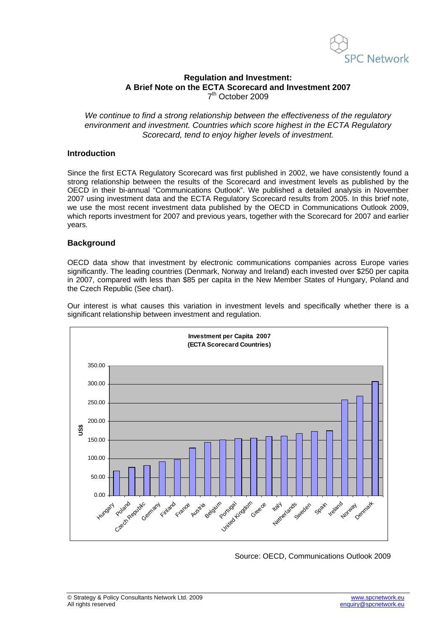

## **Regulation and Investment: A Brief Note on the ECTA Scorecard and Investment 2007**  7th October 2009

*We continue to find a strong relationship between the effectiveness of the regulatory environment and investment. Countries which score highest in the ECTA Regulatory Scorecard, tend to enjoy higher levels of investment.* 

## **Introduction**

Since the first ECTA Regulatory Scorecard was first published in 2002, we have consistently found a strong relationship between the results of the Scorecard and investment levels as published by the OECD in their bi-annual "Communications Outlook". We published a detailed analysis in November 2007 using investment data and the ECTA Regulatory Scorecard results from 2005. In this brief note, we use the most recent investment data published by the OECD in Communications Outlook 2009, which reports investment for 2007 and previous years, together with the Scorecard for 2007 and earlier years.

## **Background**

OECD data show that investment by electronic communications companies across Europe varies significantly. The leading countries (Denmark, Norway and Ireland) each invested over \$250 per capita in 2007, compared with less than \$85 per capita in the New Member States of Hungary, Poland and the Czech Republic (See chart).

Our interest is what causes this variation in investment levels and specifically whether there is a significant relationship between investment and regulation.



Source: OECD, Communications Outlook 2009